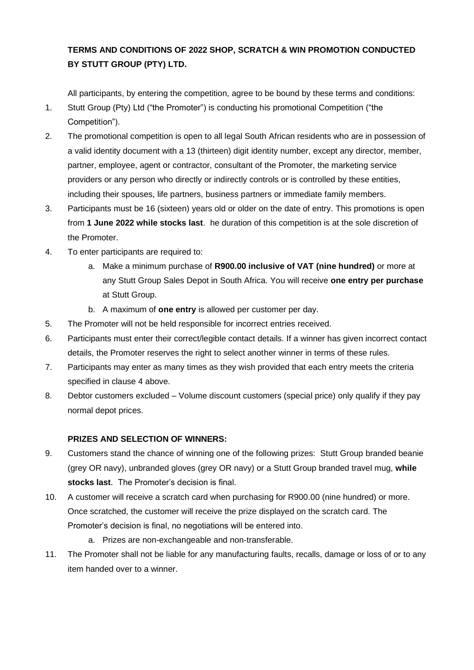## **TERMS AND CONDITIONS OF 2022 SHOP, SCRATCH & WIN PROMOTION CONDUCTED BY STUTT GROUP (PTY) LTD.**

All participants, by entering the competition, agree to be bound by these terms and conditions:

- 1. Stutt Group (Pty) Ltd ("the Promoter") is conducting his promotional Competition ("the Competition").
- 2. The promotional competition is open to all legal South African residents who are in possession of a valid identity document with a 13 (thirteen) digit identity number, except any director, member, partner, employee, agent or contractor, consultant of the Promoter, the marketing service providers or any person who directly or indirectly controls or is controlled by these entities, including their spouses, life partners, business partners or immediate family members.
- 3. Participants must be 16 (sixteen) years old or older on the date of entry. This promotions is open from **1 June 2022 while stocks last**. he duration of this competition is at the sole discretion of the Promoter.
- 4. To enter participants are required to:
	- a. Make a minimum purchase of **R900.00 inclusive of VAT (nine hundred)** or more at any Stutt Group Sales Depot in South Africa. You will receive **one entry per purchase** at Stutt Group.
	- b. A maximum of **one entry** is allowed per customer per day.
- 5. The Promoter will not be held responsible for incorrect entries received.
- 6. Participants must enter their correct/legible contact details. If a winner has given incorrect contact details, the Promoter reserves the right to select another winner in terms of these rules.
- 7. Participants may enter as many times as they wish provided that each entry meets the criteria specified in clause 4 above.
- 8. Debtor customers excluded Volume discount customers (special price) only qualify if they pay normal depot prices.

## **PRIZES AND SELECTION OF WINNERS:**

- 9. Customers stand the chance of winning one of the following prizes: Stutt Group branded beanie (grey OR navy), unbranded gloves (grey OR navy) or a Stutt Group branded travel mug, **while stocks last**. The Promoter's decision is final.
- 10. A customer will receive a scratch card when purchasing for R900.00 (nine hundred) or more. Once scratched, the customer will receive the prize displayed on the scratch card. The Promoter's decision is final, no negotiations will be entered into.
	- a. Prizes are non-exchangeable and non-transferable.
- 11. The Promoter shall not be liable for any manufacturing faults, recalls, damage or loss of or to any item handed over to a winner.